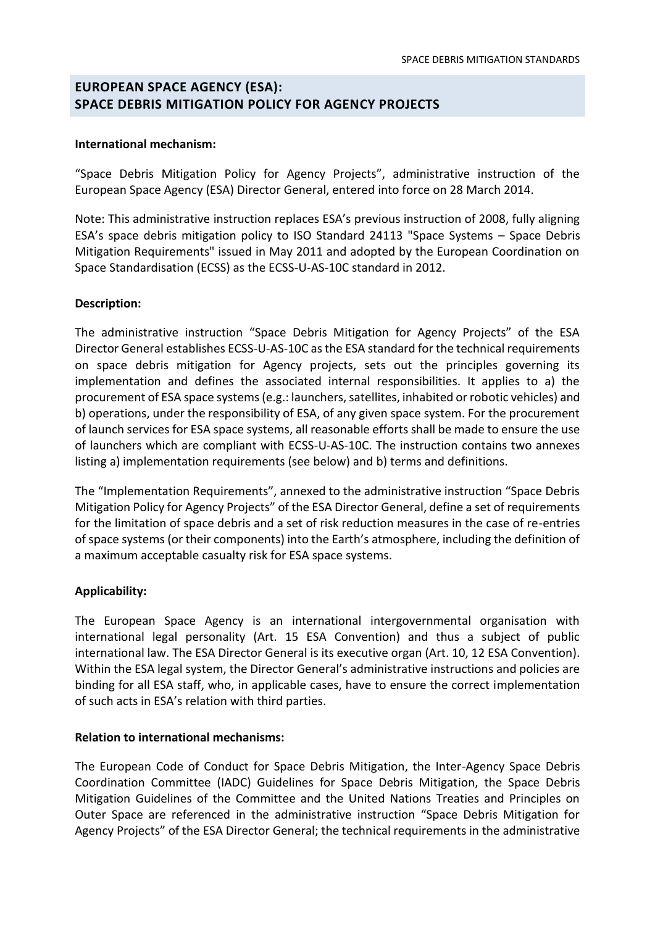# **EUROPEAN SPACE AGENCY (ESA): SPACE DEBRIS MITIGATION POLICY FOR AGENCY PROJECTS**

#### International mechanism:

"Space Debris Mitigation Policy for Agency Projects", administrative instruction of the European Space Agency (ESA) Director General, entered into force on 28 March 2014.

Note: This administrative instruction replaces ESA's previous instruction of 2008, fully aligning ESA's space debris mitigation policy to ISO Standard 24113 "Space Systems - Space Debris Mitigation Requirements" issued in May 2011 and adopted by the European Coordination on Space Standardisation (ECSS) as the ECSS-U-AS-10C standard in 2012.

### Description:

The administrative instruction "Space Debris Mitigation for Agency Projects" of the ESA Director General establishes ECSS-U-AS-10C as the ESA standard for the technical requirements on space debris mitigation for Agency projects, sets out the principles governing its implementation and defines the associated internal responsibilities. It applies to a) the procurement of ESA space systems (e.g.: launchers, satellites, inhabited or robotic vehicles) and b) operations, under the responsibility of ESA, of any given space system. For the procurement of launch services for ESA space systems, all reasonable efforts shall be made to ensure the use of launchers which are compliant with ECSS-U-AS-10C. The instruction contains two annexes listing a) implementation requirements (see below) and b) terms and definitions.

The "Implementation Requirements", annexed to the administrative instruction "Space Debris Mitigation Policy for Agency Projects" of the ESA Director General, define a set of requirements for the limitation of space debris and a set of risk reduction measures in the case of re-entries of space systems (or their components) into the Earth's atmosphere, including the definition of a maximum acceptable casualty risk for ESA space systems.

### **Applicability:**

The European Space Agency is an international intergovernmental organisation with international legal personality (Art. 15 ESA Convention) and thus a subject of public international law. The ESA Director General is its executive organ (Art. 10, 12 ESA Convention). Within the ESA legal system, the Director General's administrative instructions and policies are binding for all ESA staff, who, in applicable cases, have to ensure the correct implementation of such acts in ESA's relation with third parties.

#### **Relation to international mechanisms:**

The European Code of Conduct for Space Debris Mitigation, the Inter-Agency Space Debris Coordination Committee (IADC) Guidelines for Space Debris Mitigation, the Space Debris Mitigation Guidelines of the Committee and the United Nations Treaties and Principles on Outer Space are referenced in the administrative instruction "Space Debris Mitigation for Agency Projects" of the ESA Director General; the technical requirements in the administrative